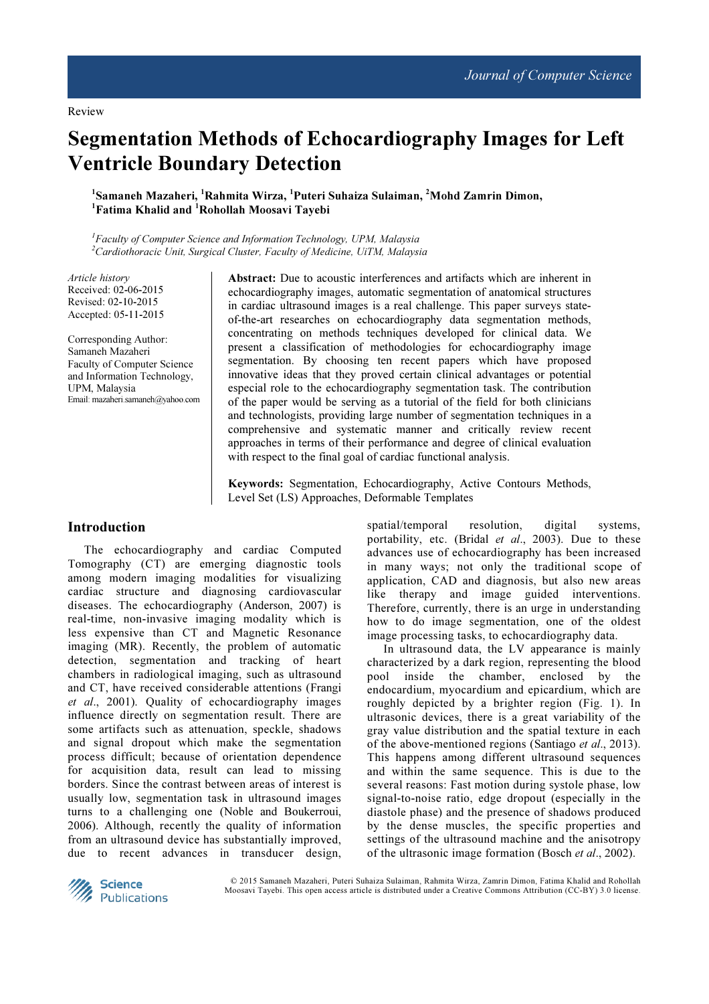# Segmentation Methods of Echocardiography Images for Left Ventricle Boundary Detection

 $^1$ Samaneh Mazaheri,  $^1$ Rahmita Wirza,  $^1$ Puteri Suhaiza Sulaiman,  $^2$ Mohd Zamrin Dimon, <sup>1</sup>Fatima Khalid and <sup>1</sup>Rohollah Moosavi Tayebi

 ${}^{1}$ Faculty of Computer Science and Information Technology, UPM, Malaysia  $2C$ ardiothoracic Unit, Surgical Cluster, Faculty of Medicine, UiTM, Malaysia

Article history Received: 02-06-2015 Revised: 02-10-2015 Accepted: 05-11-2015

Corresponding Author: Samaneh Mazaheri Faculty of Computer Science and Information Technology, UPM, Malaysia Email: mazaheri.samaneh@yahoo.com

Abstract: Due to acoustic interferences and artifacts which are inherent in echocardiography images, automatic segmentation of anatomical structures in cardiac ultrasound images is a real challenge. This paper surveys stateof-the-art researches on echocardiography data segmentation methods, concentrating on methods techniques developed for clinical data. We present a classification of methodologies for echocardiography image segmentation. By choosing ten recent papers which have proposed innovative ideas that they proved certain clinical advantages or potential especial role to the echocardiography segmentation task. The contribution of the paper would be serving as a tutorial of the field for both clinicians and technologists, providing large number of segmentation techniques in a comprehensive and systematic manner and critically review recent approaches in terms of their performance and degree of clinical evaluation with respect to the final goal of cardiac functional analysis.

Keywords: Segmentation, Echocardiography, Active Contours Methods, Level Set (LS) Approaches, Deformable Templates

# Introduction

The echocardiography and cardiac Computed Tomography (CT) are emerging diagnostic tools among modern imaging modalities for visualizing cardiac structure and diagnosing cardiovascular diseases. The echocardiography (Anderson, 2007) is real-time, non-invasive imaging modality which is less expensive than CT and Magnetic Resonance imaging (MR). Recently, the problem of automatic detection, segmentation and tracking of heart chambers in radiological imaging, such as ultrasound and CT, have received considerable attentions (Frangi et al., 2001). Quality of echocardiography images influence directly on segmentation result. There are some artifacts such as attenuation, speckle, shadows and signal dropout which make the segmentation process difficult; because of orientation dependence for acquisition data, result can lead to missing borders. Since the contrast between areas of interest is usually low, segmentation task in ultrasound images turns to a challenging one (Noble and Boukerroui, 2006). Although, recently the quality of information from an ultrasound device has substantially improved, due to recent advances in transducer design,

spatial/temporal resolution, digital systems, portability, etc. (Bridal et al., 2003). Due to these advances use of echocardiography has been increased in many ways; not only the traditional scope of application, CAD and diagnosis, but also new areas like therapy and image guided interventions. Therefore, currently, there is an urge in understanding how to do image segmentation, one of the oldest image processing tasks, to echocardiography data.

In ultrasound data, the LV appearance is mainly characterized by a dark region, representing the blood pool inside the chamber, enclosed by the endocardium, myocardium and epicardium, which are roughly depicted by a brighter region (Fig. 1). In ultrasonic devices, there is a great variability of the gray value distribution and the spatial texture in each of the above-mentioned regions (Santiago et al., 2013). This happens among different ultrasound sequences and within the same sequence. This is due to the several reasons: Fast motion during systole phase, low signal-to-noise ratio, edge dropout (especially in the diastole phase) and the presence of shadows produced by the dense muscles, the specific properties and settings of the ultrasound machine and the anisotropy of the ultrasonic image formation (Bosch et al., 2002).



© 2015 Samaneh Mazaheri, Puteri Suhaiza Sulaiman, Rahmita Wirza, Zamrin Dimon, Fatima Khalid and Rohollah Moosavi Tayebi. This open access article is distributed under a Creative Commons Attribution (CC-BY) 3.0 license.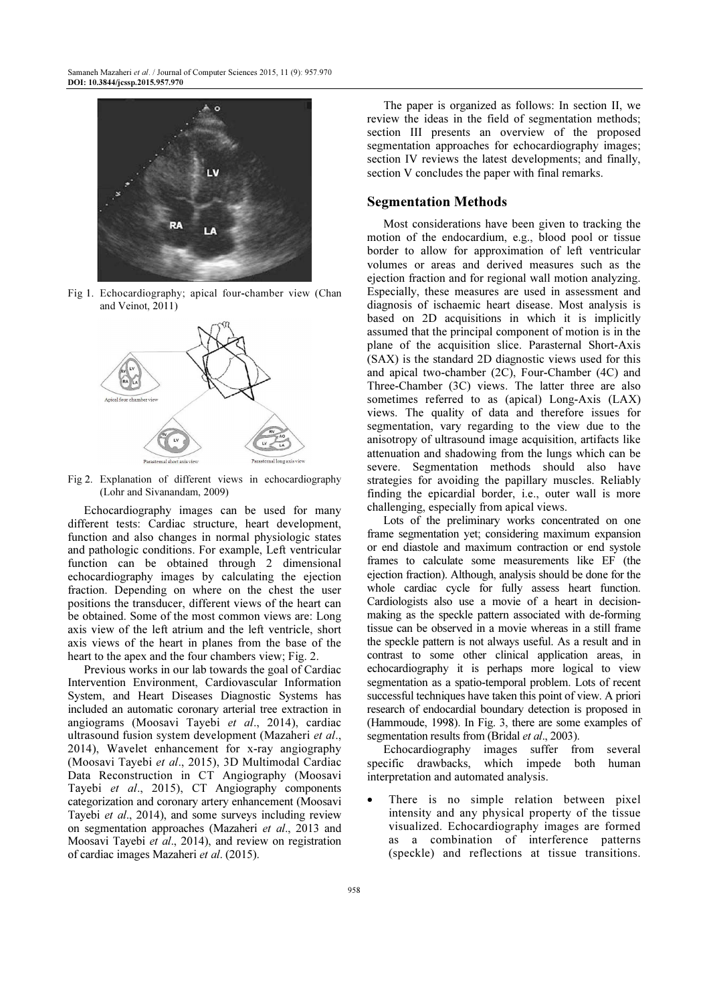

Fig 1. Echocardiography; apical four-chamber view (Chan and Veinot, 2011)



Fig 2. Explanation of different views in echocardiography (Lohr and Sivanandam, 2009)

Echocardiography images can be used for many different tests: Cardiac structure, heart development, function and also changes in normal physiologic states and pathologic conditions. For example, Left ventricular function can be obtained through 2 dimensional echocardiography images by calculating the ejection fraction. Depending on where on the chest the user positions the transducer, different views of the heart can be obtained. Some of the most common views are: Long axis view of the left atrium and the left ventricle, short axis views of the heart in planes from the base of the heart to the apex and the four chambers view; Fig. 2.

Previous works in our lab towards the goal of Cardiac Intervention Environment, Cardiovascular Information System, and Heart Diseases Diagnostic Systems has included an automatic coronary arterial tree extraction in angiograms (Moosavi Tayebi et al., 2014), cardiac ultrasound fusion system development (Mazaheri et al., 2014), Wavelet enhancement for x-ray angiography (Moosavi Tayebi et al., 2015), 3D Multimodal Cardiac Data Reconstruction in CT Angiography (Moosavi Tayebi et al., 2015), CT Angiography components categorization and coronary artery enhancement (Moosavi Tayebi et al., 2014), and some surveys including review on segmentation approaches (Mazaheri et al., 2013 and Moosavi Tayebi et al., 2014), and review on registration of cardiac images Mazaheri et al. (2015).

The paper is organized as follows: In section II, we review the ideas in the field of segmentation methods; section III presents an overview of the proposed segmentation approaches for echocardiography images; section IV reviews the latest developments; and finally, section V concludes the paper with final remarks.

#### Segmentation Methods

Most considerations have been given to tracking the motion of the endocardium, e.g., blood pool or tissue border to allow for approximation of left ventricular volumes or areas and derived measures such as the ejection fraction and for regional wall motion analyzing. Especially, these measures are used in assessment and diagnosis of ischaemic heart disease. Most analysis is based on 2D acquisitions in which it is implicitly assumed that the principal component of motion is in the plane of the acquisition slice. Parasternal Short-Axis (SAX) is the standard 2D diagnostic views used for this and apical two-chamber (2C), Four-Chamber (4C) and Three-Chamber (3C) views. The latter three are also sometimes referred to as (apical) Long-Axis (LAX) views. The quality of data and therefore issues for segmentation, vary regarding to the view due to the anisotropy of ultrasound image acquisition, artifacts like attenuation and shadowing from the lungs which can be severe. Segmentation methods should also have strategies for avoiding the papillary muscles. Reliably finding the epicardial border, i.e., outer wall is more challenging, especially from apical views.

Lots of the preliminary works concentrated on one frame segmentation yet; considering maximum expansion or end diastole and maximum contraction or end systole frames to calculate some measurements like EF (the ejection fraction). Although, analysis should be done for the whole cardiac cycle for fully assess heart function. Cardiologists also use a movie of a heart in decisionmaking as the speckle pattern associated with de-forming tissue can be observed in a movie whereas in a still frame the speckle pattern is not always useful. As a result and in contrast to some other clinical application areas, in echocardiography it is perhaps more logical to view segmentation as a spatio-temporal problem. Lots of recent successful techniques have taken this point of view. A priori research of endocardial boundary detection is proposed in (Hammoude, 1998). In Fig. 3, there are some examples of segmentation results from (Bridal et al., 2003).

Echocardiography images suffer from several specific drawbacks, which impede both human interpretation and automated analysis.

There is no simple relation between pixel intensity and any physical property of the tissue visualized. Echocardiography images are formed as a combination of interference patterns (speckle) and reflections at tissue transitions.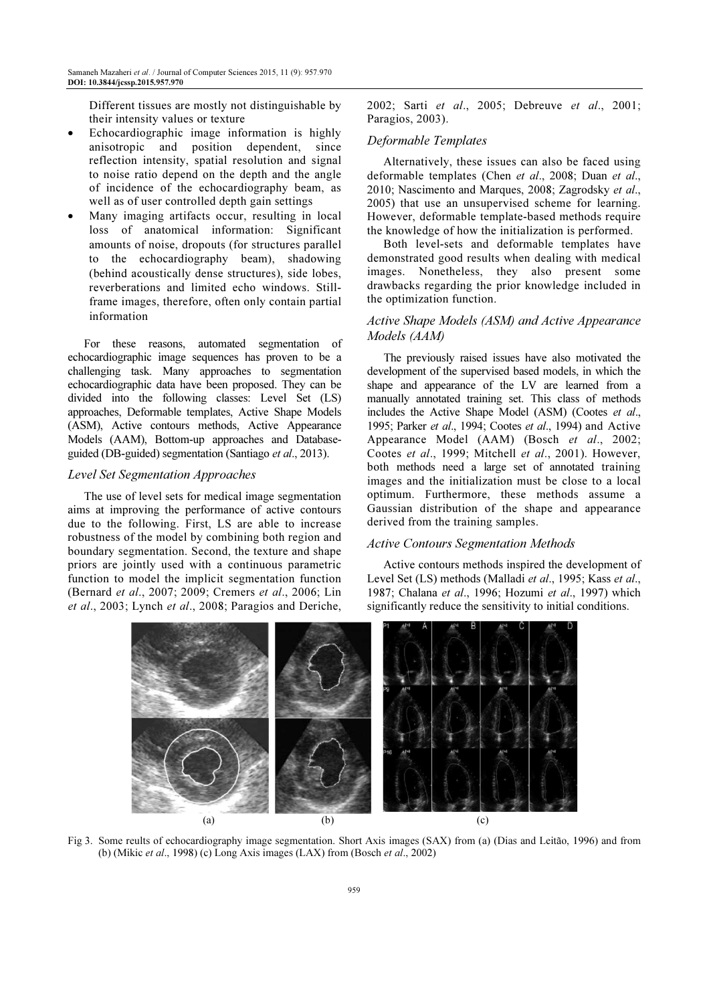Different tissues are mostly not distinguishable by their intensity values or texture

- Echocardiographic image information is highly anisotropic and position dependent, since reflection intensity, spatial resolution and signal to noise ratio depend on the depth and the angle of incidence of the echocardiography beam, as well as of user controlled depth gain settings
- Many imaging artifacts occur, resulting in local loss of anatomical information: Significant amounts of noise, dropouts (for structures parallel to the echocardiography beam), shadowing (behind acoustically dense structures), side lobes, reverberations and limited echo windows. Stillframe images, therefore, often only contain partial information

For these reasons, automated segmentation of echocardiographic image sequences has proven to be a challenging task. Many approaches to segmentation echocardiographic data have been proposed. They can be divided into the following classes: Level Set (LS) approaches, Deformable templates, Active Shape Models (ASM), Active contours methods, Active Appearance Models (AAM), Bottom-up approaches and Databaseguided (DB-guided) segmentation (Santiago et al., 2013).

# Level Set Segmentation Approaches

The use of level sets for medical image segmentation aims at improving the performance of active contours due to the following. First, LS are able to increase robustness of the model by combining both region and boundary segmentation. Second, the texture and shape priors are jointly used with a continuous parametric function to model the implicit segmentation function (Bernard et al., 2007; 2009; Cremers et al., 2006; Lin et al., 2003; Lynch et al., 2008; Paragios and Deriche,

2002; Sarti et al., 2005; Debreuve et al., 2001; Paragios, 2003).

# Deformable Templates

Alternatively, these issues can also be faced using deformable templates (Chen et al., 2008; Duan et al., 2010; Nascimento and Marques, 2008; Zagrodsky et al., 2005) that use an unsupervised scheme for learning. However, deformable template-based methods require the knowledge of how the initialization is performed.

Both level-sets and deformable templates have demonstrated good results when dealing with medical images. Nonetheless, they also present some drawbacks regarding the prior knowledge included in the optimization function.

# Active Shape Models (ASM) and Active Appearance Models (AAM)

The previously raised issues have also motivated the development of the supervised based models, in which the shape and appearance of the LV are learned from a manually annotated training set. This class of methods includes the Active Shape Model (ASM) (Cootes et al., 1995; Parker et al., 1994; Cootes et al., 1994) and Active Appearance Model (AAM) (Bosch et al., 2002; Cootes et al., 1999; Mitchell et al., 2001). However, both methods need a large set of annotated training images and the initialization must be close to a local optimum. Furthermore, these methods assume a Gaussian distribution of the shape and appearance derived from the training samples.

## Active Contours Segmentation Methods

Active contours methods inspired the development of Level Set (LS) methods (Malladi et al., 1995; Kass et al., 1987; Chalana et al., 1996; Hozumi et al., 1997) which significantly reduce the sensitivity to initial conditions.



Fig 3. Some reults of echocardiography image segmentation. Short Axis images (SAX) from (a) (Dias and Leitão, 1996) and from (b) (Mikic et al., 1998) (c) Long Axis images (LAX) from (Bosch et al., 2002)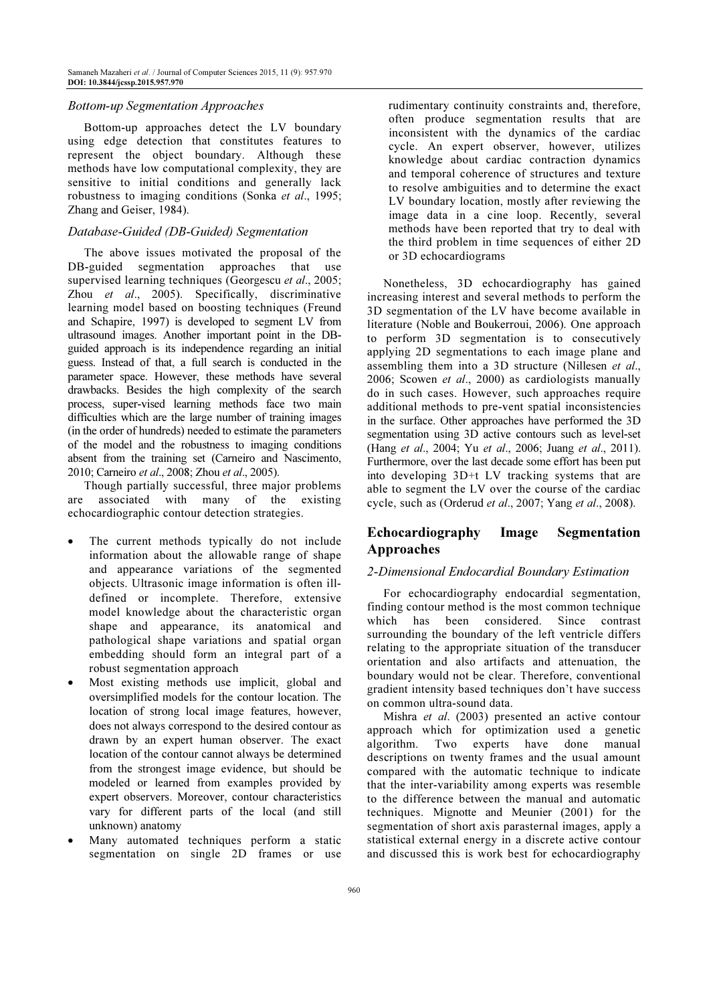#### Bottom-up Segmentation Approaches

Bottom-up approaches detect the LV boundary using edge detection that constitutes features to represent the object boundary. Although these methods have low computational complexity, they are sensitive to initial conditions and generally lack robustness to imaging conditions (Sonka et al., 1995; Zhang and Geiser, 1984).

# Database-Guided (DB-Guided) Segmentation

The above issues motivated the proposal of the DB-guided segmentation approaches that use supervised learning techniques (Georgescu et al., 2005; Zhou et al., 2005). Specifically, discriminative learning model based on boosting techniques (Freund and Schapire, 1997) is developed to segment LV from ultrasound images. Another important point in the DBguided approach is its independence regarding an initial guess. Instead of that, a full search is conducted in the parameter space. However, these methods have several drawbacks. Besides the high complexity of the search process, super-vised learning methods face two main difficulties which are the large number of training images (in the order of hundreds) needed to estimate the parameters of the model and the robustness to imaging conditions absent from the training set (Carneiro and Nascimento, 2010; Carneiro et al., 2008; Zhou et al., 2005).

Though partially successful, three major problems are associated with many of the existing echocardiographic contour detection strategies.

- The current methods typically do not include information about the allowable range of shape and appearance variations of the segmented objects. Ultrasonic image information is often illdefined or incomplete. Therefore, extensive model knowledge about the characteristic organ shape and appearance, its anatomical and pathological shape variations and spatial organ embedding should form an integral part of a robust segmentation approach
- Most existing methods use implicit, global and oversimplified models for the contour location. The location of strong local image features, however, does not always correspond to the desired contour as drawn by an expert human observer. The exact location of the contour cannot always be determined from the strongest image evidence, but should be modeled or learned from examples provided by expert observers. Moreover, contour characteristics vary for different parts of the local (and still unknown) anatomy
- Many automated techniques perform a static segmentation on single 2D frames or use

rudimentary continuity constraints and, therefore, often produce segmentation results that are inconsistent with the dynamics of the cardiac cycle. An expert observer, however, utilizes knowledge about cardiac contraction dynamics and temporal coherence of structures and texture to resolve ambiguities and to determine the exact LV boundary location, mostly after reviewing the image data in a cine loop. Recently, several methods have been reported that try to deal with the third problem in time sequences of either 2D or 3D echocardiograms

Nonetheless, 3D echocardiography has gained increasing interest and several methods to perform the 3D segmentation of the LV have become available in literature (Noble and Boukerroui, 2006). One approach to perform 3D segmentation is to consecutively applying 2D segmentations to each image plane and assembling them into a 3D structure (Nillesen et al., 2006; Scowen et al., 2000) as cardiologists manually do in such cases. However, such approaches require additional methods to pre-vent spatial inconsistencies in the surface. Other approaches have performed the 3D segmentation using 3D active contours such as level-set (Hang et al., 2004; Yu et al., 2006; Juang et al., 2011). Furthermore, over the last decade some effort has been put into developing 3D+t LV tracking systems that are able to segment the LV over the course of the cardiac cycle, such as (Orderud et al., 2007; Yang et al., 2008).

# Echocardiography Image Segmentation Approaches

# 2-Dimensional Endocardial Boundary Estimation

For echocardiography endocardial segmentation, finding contour method is the most common technique which has been considered. Since contrast surrounding the boundary of the left ventricle differs relating to the appropriate situation of the transducer orientation and also artifacts and attenuation, the boundary would not be clear. Therefore, conventional gradient intensity based techniques don't have success on common ultra-sound data.

Mishra et al. (2003) presented an active contour approach which for optimization used a genetic algorithm. Two experts have done manual descriptions on twenty frames and the usual amount compared with the automatic technique to indicate that the inter-variability among experts was resemble to the difference between the manual and automatic techniques. Mignotte and Meunier (2001) for the segmentation of short axis parasternal images, apply a statistical external energy in a discrete active contour and discussed this is work best for echocardiography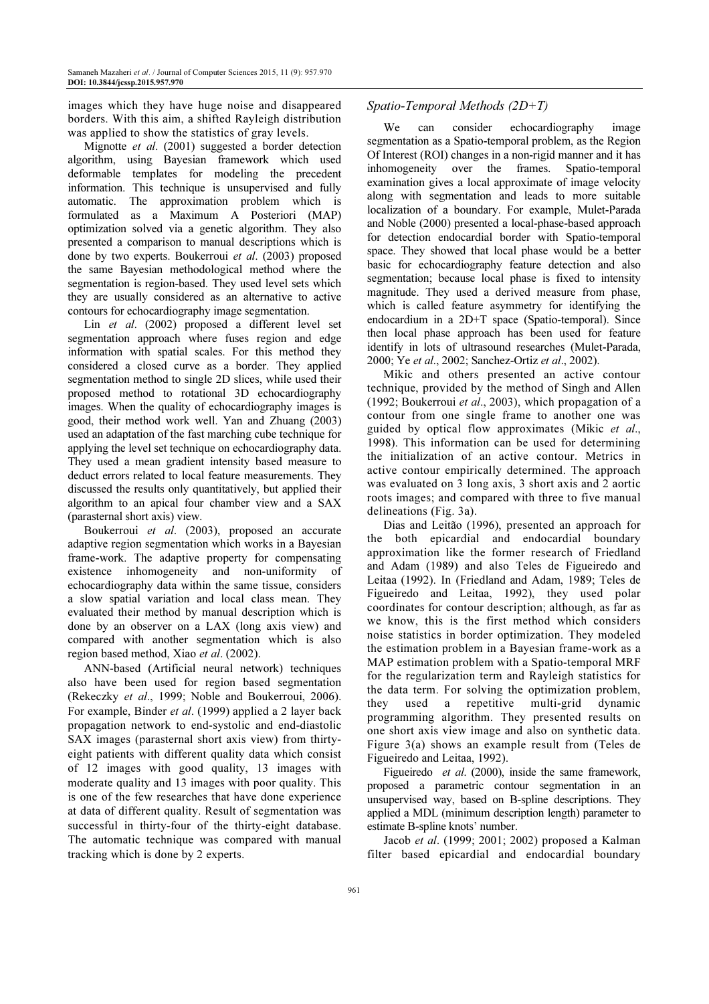images which they have huge noise and disappeared borders. With this aim, a shifted Rayleigh distribution was applied to show the statistics of gray levels.

Mignotte et al. (2001) suggested a border detection algorithm, using Bayesian framework which used deformable templates for modeling the precedent information. This technique is unsupervised and fully automatic. The approximation problem which is formulated as a Maximum A Posteriori (MAP) optimization solved via a genetic algorithm. They also presented a comparison to manual descriptions which is done by two experts. Boukerroui et al. (2003) proposed the same Bayesian methodological method where the segmentation is region-based. They used level sets which they are usually considered as an alternative to active contours for echocardiography image segmentation.

Lin et al. (2002) proposed a different level set segmentation approach where fuses region and edge information with spatial scales. For this method they considered a closed curve as a border. They applied segmentation method to single 2D slices, while used their proposed method to rotational 3D echocardiography images. When the quality of echocardiography images is good, their method work well. Yan and Zhuang (2003) used an adaptation of the fast marching cube technique for applying the level set technique on echocardiography data. They used a mean gradient intensity based measure to deduct errors related to local feature measurements. They discussed the results only quantitatively, but applied their algorithm to an apical four chamber view and a SAX (parasternal short axis) view.

Boukerroui et al. (2003), proposed an accurate adaptive region segmentation which works in a Bayesian frame-work. The adaptive property for compensating existence inhomogeneity and non-uniformity of echocardiography data within the same tissue, considers a slow spatial variation and local class mean. They evaluated their method by manual description which is done by an observer on a LAX (long axis view) and compared with another segmentation which is also region based method, Xiao et al. (2002).

ANN-based (Artificial neural network) techniques also have been used for region based segmentation (Rekeczky et al., 1999; Noble and Boukerroui, 2006). For example, Binder et al. (1999) applied a 2 layer back propagation network to end-systolic and end-diastolic SAX images (parasternal short axis view) from thirtyeight patients with different quality data which consist of 12 images with good quality, 13 images with moderate quality and 13 images with poor quality. This is one of the few researches that have done experience at data of different quality. Result of segmentation was successful in thirty-four of the thirty-eight database. The automatic technique was compared with manual tracking which is done by 2 experts.

# Spatio-Temporal Methods (2D+T)

We can consider echocardiography image segmentation as a Spatio-temporal problem, as the Region Of Interest (ROI) changes in a non-rigid manner and it has inhomogeneity over the frames. Spatio-temporal examination gives a local approximate of image velocity along with segmentation and leads to more suitable localization of a boundary. For example, Mulet-Parada and Noble (2000) presented a local-phase-based approach for detection endocardial border with Spatio-temporal space. They showed that local phase would be a better basic for echocardiography feature detection and also segmentation; because local phase is fixed to intensity magnitude. They used a derived measure from phase, which is called feature asymmetry for identifying the endocardium in a 2D+T space (Spatio-temporal). Since then local phase approach has been used for feature identify in lots of ultrasound researches (Mulet-Parada, 2000; Ye et al., 2002; Sanchez-Ortiz et al., 2002).

Mikic and others presented an active contour technique, provided by the method of Singh and Allen (1992; Boukerroui et al., 2003), which propagation of a contour from one single frame to another one was guided by optical flow approximates (Mikic et al., 1998). This information can be used for determining the initialization of an active contour. Metrics in active contour empirically determined. The approach was evaluated on 3 long axis, 3 short axis and 2 aortic roots images; and compared with three to five manual delineations (Fig. 3a).

Dias and Leitão (1996), presented an approach for the both epicardial and endocardial boundary approximation like the former research of Friedland and Adam (1989) and also Teles de Figueiredo and Leitaa (1992). In (Friedland and Adam, 1989; Teles de Figueiredo and Leitaa, 1992), they used polar coordinates for contour description; although, as far as we know, this is the first method which considers noise statistics in border optimization. They modeled the estimation problem in a Bayesian frame-work as a MAP estimation problem with a Spatio-temporal MRF for the regularization term and Rayleigh statistics for the data term. For solving the optimization problem, they used a repetitive multi-grid dynamic programming algorithm. They presented results on one short axis view image and also on synthetic data. Figure 3(a) shows an example result from (Teles de Figueiredo and Leitaa, 1992).

Figueiredo et al. (2000), inside the same framework, proposed a parametric contour segmentation in an unsupervised way, based on B-spline descriptions. They applied a MDL (minimum description length) parameter to estimate B-spline knots' number.

Jacob et al. (1999; 2001; 2002) proposed a Kalman filter based epicardial and endocardial boundary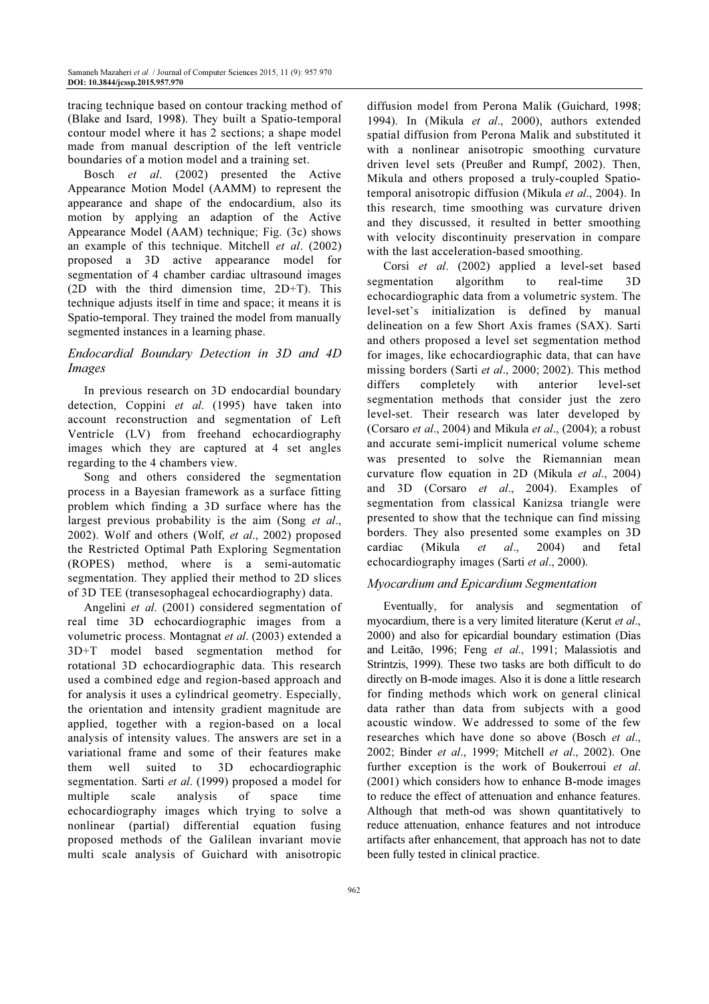tracing technique based on contour tracking method of (Blake and Isard, 1998). They built a Spatio-temporal contour model where it has 2 sections; a shape model made from manual description of the left ventricle boundaries of a motion model and a training set.

Bosch et al. (2002) presented the Active Appearance Motion Model (AAMM) to represent the appearance and shape of the endocardium, also its motion by applying an adaption of the Active Appearance Model (AAM) technique; Fig. (3c) shows an example of this technique. Mitchell et al. (2002) proposed a 3D active appearance model for segmentation of 4 chamber cardiac ultrasound images (2D with the third dimension time, 2D+T). This technique adjusts itself in time and space; it means it is Spatio-temporal. They trained the model from manually segmented instances in a learning phase.

# Endocardial Boundary Detection in 3D and 4D Images

In previous research on 3D endocardial boundary detection, Coppini et al. (1995) have taken into account reconstruction and segmentation of Left Ventricle (LV) from freehand echocardiography images which they are captured at 4 set angles regarding to the 4 chambers view.

Song and others considered the segmentation process in a Bayesian framework as a surface fitting problem which finding a 3D surface where has the largest previous probability is the aim (Song et al., 2002). Wolf and others (Wolf, et al., 2002) proposed the Restricted Optimal Path Exploring Segmentation (ROPES) method, where is a semi-automatic segmentation. They applied their method to 2D slices of 3D TEE (transesophageal echocardiography) data.

Angelini et al. (2001) considered segmentation of real time 3D echocardiographic images from a volumetric process. Montagnat et al. (2003) extended a 3D+T model based segmentation method for rotational 3D echocardiographic data. This research used a combined edge and region-based approach and for analysis it uses a cylindrical geometry. Especially, the orientation and intensity gradient magnitude are applied, together with a region-based on a local analysis of intensity values. The answers are set in a variational frame and some of their features make them well suited to 3D echocardiographic segmentation. Sarti et al. (1999) proposed a model for multiple scale analysis of space time echocardiography images which trying to solve a nonlinear (partial) differential equation fusing proposed methods of the Galilean invariant movie multi scale analysis of Guichard with anisotropic

diffusion model from Perona Malik (Guichard, 1998; 1994). In (Mikula et al., 2000), authors extended spatial diffusion from Perona Malik and substituted it with a nonlinear anisotropic smoothing curvature driven level sets (Preußer and Rumpf, 2002). Then, Mikula and others proposed a truly-coupled Spatiotemporal anisotropic diffusion (Mikula et al., 2004). In this research, time smoothing was curvature driven and they discussed, it resulted in better smoothing with velocity discontinuity preservation in compare with the last acceleration-based smoothing.

Corsi et al. (2002) applied a level-set based segmentation algorithm to real-time 3D echocardiographic data from a volumetric system. The level-set's initialization is defined by manual delineation on a few Short Axis frames (SAX). Sarti and others proposed a level set segmentation method for images, like echocardiographic data, that can have missing borders (Sarti et al., 2000; 2002). This method differs completely with anterior level-set segmentation methods that consider just the zero level-set. Their research was later developed by (Corsaro et al., 2004) and Mikula et al., (2004); a robust and accurate semi-implicit numerical volume scheme was presented to solve the Riemannian mean curvature flow equation in 2D (Mikula et al., 2004) and 3D (Corsaro et al., 2004). Examples of segmentation from classical Kanizsa triangle were presented to show that the technique can find missing borders. They also presented some examples on 3D cardiac (Mikula et al., 2004) and fetal echocardiography images (Sarti et al., 2000).

# Myocardium and Epicardium Segmentation

Eventually, for analysis and segmentation of myocardium, there is a very limited literature (Kerut et al., 2000) and also for epicardial boundary estimation (Dias and Leitão, 1996; Feng et al., 1991; Malassiotis and Strintzis, 1999). These two tasks are both difficult to do directly on B-mode images. Also it is done a little research for finding methods which work on general clinical data rather than data from subjects with a good acoustic window. We addressed to some of the few researches which have done so above (Bosch et al., 2002; Binder et al., 1999; Mitchell et al., 2002). One further exception is the work of Boukerroui et al. (2001) which considers how to enhance B-mode images to reduce the effect of attenuation and enhance features. Although that meth-od was shown quantitatively to reduce attenuation, enhance features and not introduce artifacts after enhancement, that approach has not to date been fully tested in clinical practice.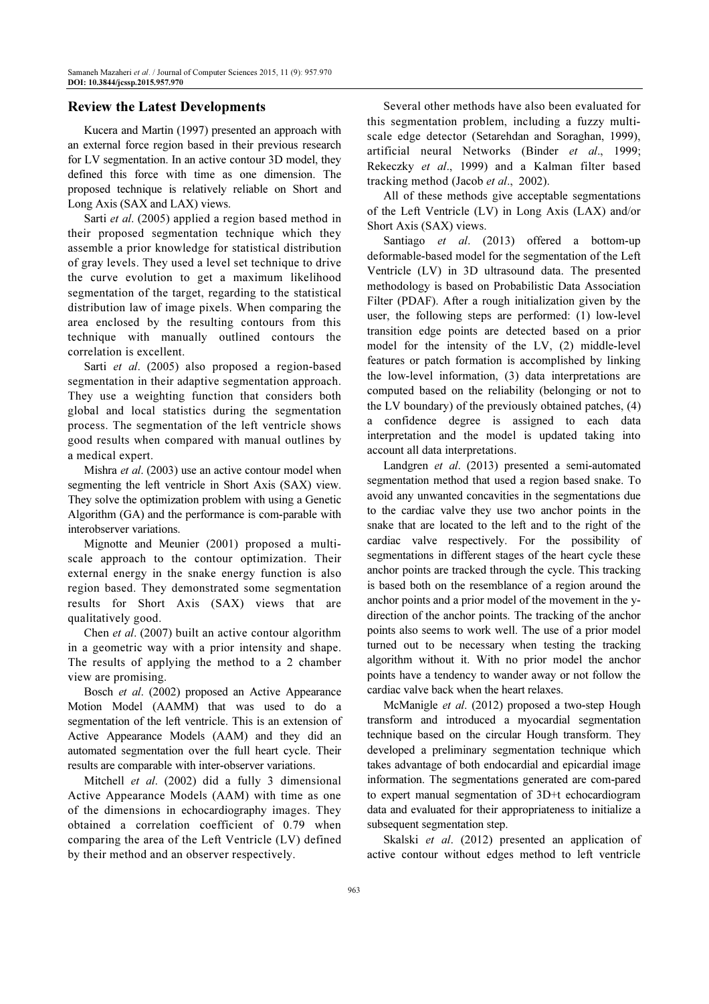# Review the Latest Developments

Kucera and Martin (1997) presented an approach with an external force region based in their previous research for LV segmentation. In an active contour 3D model, they defined this force with time as one dimension. The proposed technique is relatively reliable on Short and Long Axis (SAX and LAX) views.

Sarti et al. (2005) applied a region based method in their proposed segmentation technique which they assemble a prior knowledge for statistical distribution of gray levels. They used a level set technique to drive the curve evolution to get a maximum likelihood segmentation of the target, regarding to the statistical distribution law of image pixels. When comparing the area enclosed by the resulting contours from this technique with manually outlined contours the correlation is excellent.

Sarti et al. (2005) also proposed a region-based segmentation in their adaptive segmentation approach. They use a weighting function that considers both global and local statistics during the segmentation process. The segmentation of the left ventricle shows good results when compared with manual outlines by a medical expert.

Mishra *et al.* (2003) use an active contour model when segmenting the left ventricle in Short Axis (SAX) view. They solve the optimization problem with using a Genetic Algorithm (GA) and the performance is com-parable with interobserver variations.

Mignotte and Meunier (2001) proposed a multiscale approach to the contour optimization. Their external energy in the snake energy function is also region based. They demonstrated some segmentation results for Short Axis (SAX) views that are qualitatively good.

Chen et al. (2007) built an active contour algorithm in a geometric way with a prior intensity and shape. The results of applying the method to a 2 chamber view are promising.

Bosch et al. (2002) proposed an Active Appearance Motion Model (AAMM) that was used to do a segmentation of the left ventricle. This is an extension of Active Appearance Models (AAM) and they did an automated segmentation over the full heart cycle. Their results are comparable with inter-observer variations.

Mitchell et al. (2002) did a fully 3 dimensional Active Appearance Models (AAM) with time as one of the dimensions in echocardiography images. They obtained a correlation coefficient of 0.79 when comparing the area of the Left Ventricle (LV) defined by their method and an observer respectively.

Several other methods have also been evaluated for this segmentation problem, including a fuzzy multiscale edge detector (Setarehdan and Soraghan, 1999), artificial neural Networks (Binder et al., 1999; Rekeczky et al., 1999) and a Kalman filter based tracking method (Jacob et al., 2002).

All of these methods give acceptable segmentations of the Left Ventricle (LV) in Long Axis (LAX) and/or Short Axis (SAX) views.

Santiago et al. (2013) offered a bottom-up deformable-based model for the segmentation of the Left Ventricle (LV) in 3D ultrasound data. The presented methodology is based on Probabilistic Data Association Filter (PDAF). After a rough initialization given by the user, the following steps are performed: (1) low-level transition edge points are detected based on a prior model for the intensity of the LV, (2) middle-level features or patch formation is accomplished by linking the low-level information, (3) data interpretations are computed based on the reliability (belonging or not to the LV boundary) of the previously obtained patches, (4) a confidence degree is assigned to each data interpretation and the model is updated taking into account all data interpretations.

Landgren et al. (2013) presented a semi-automated segmentation method that used a region based snake. To avoid any unwanted concavities in the segmentations due to the cardiac valve they use two anchor points in the snake that are located to the left and to the right of the cardiac valve respectively. For the possibility of segmentations in different stages of the heart cycle these anchor points are tracked through the cycle. This tracking is based both on the resemblance of a region around the anchor points and a prior model of the movement in the ydirection of the anchor points. The tracking of the anchor points also seems to work well. The use of a prior model turned out to be necessary when testing the tracking algorithm without it. With no prior model the anchor points have a tendency to wander away or not follow the cardiac valve back when the heart relaxes.

McManigle et al. (2012) proposed a two-step Hough transform and introduced a myocardial segmentation technique based on the circular Hough transform. They developed a preliminary segmentation technique which takes advantage of both endocardial and epicardial image information. The segmentations generated are com-pared to expert manual segmentation of 3D+t echocardiogram data and evaluated for their appropriateness to initialize a subsequent segmentation step.

Skalski et al. (2012) presented an application of active contour without edges method to left ventricle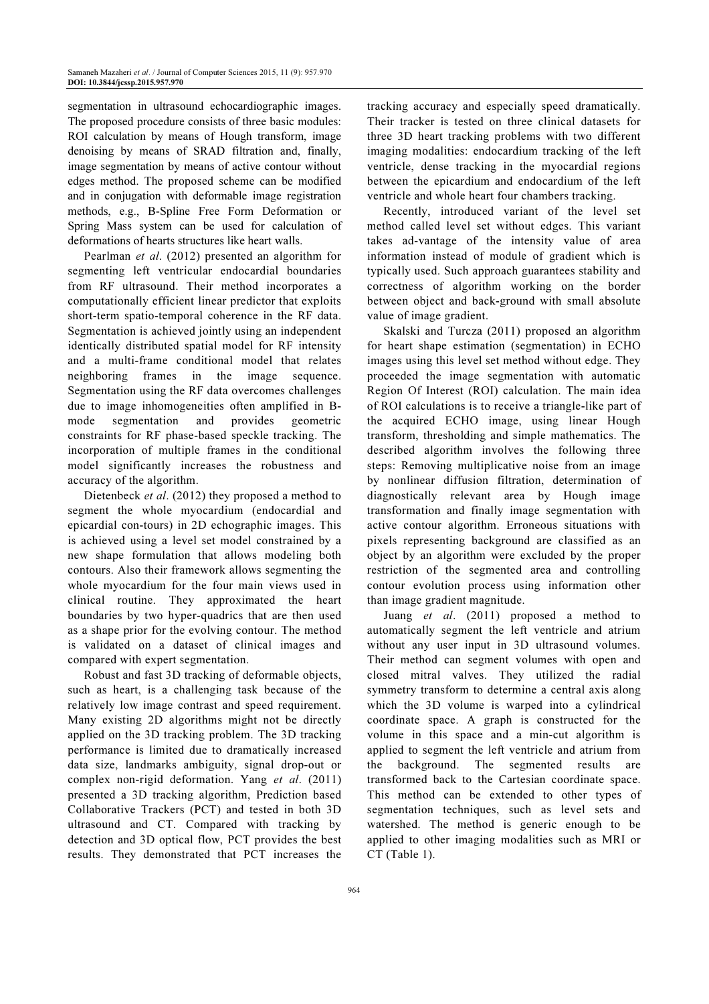segmentation in ultrasound echocardiographic images. The proposed procedure consists of three basic modules: ROI calculation by means of Hough transform, image denoising by means of SRAD filtration and, finally, image segmentation by means of active contour without edges method. The proposed scheme can be modified and in conjugation with deformable image registration methods, e.g., B-Spline Free Form Deformation or Spring Mass system can be used for calculation of deformations of hearts structures like heart walls.

Pearlman et al. (2012) presented an algorithm for segmenting left ventricular endocardial boundaries from RF ultrasound. Their method incorporates a computationally efficient linear predictor that exploits short-term spatio-temporal coherence in the RF data. Segmentation is achieved jointly using an independent identically distributed spatial model for RF intensity and a multi-frame conditional model that relates neighboring frames in the image sequence. Segmentation using the RF data overcomes challenges due to image inhomogeneities often amplified in Bmode segmentation and provides geometric constraints for RF phase-based speckle tracking. The incorporation of multiple frames in the conditional model significantly increases the robustness and accuracy of the algorithm.

Dietenbeck *et al.* (2012) they proposed a method to segment the whole myocardium (endocardial and epicardial con-tours) in 2D echographic images. This is achieved using a level set model constrained by a new shape formulation that allows modeling both contours. Also their framework allows segmenting the whole myocardium for the four main views used in clinical routine. They approximated the heart boundaries by two hyper-quadrics that are then used as a shape prior for the evolving contour. The method is validated on a dataset of clinical images and compared with expert segmentation.

Robust and fast 3D tracking of deformable objects, such as heart, is a challenging task because of the relatively low image contrast and speed requirement. Many existing 2D algorithms might not be directly applied on the 3D tracking problem. The 3D tracking performance is limited due to dramatically increased data size, landmarks ambiguity, signal drop-out or complex non-rigid deformation. Yang et al. (2011) presented a 3D tracking algorithm, Prediction based Collaborative Trackers (PCT) and tested in both 3D ultrasound and CT. Compared with tracking by detection and 3D optical flow, PCT provides the best results. They demonstrated that PCT increases the

tracking accuracy and especially speed dramatically. Their tracker is tested on three clinical datasets for three 3D heart tracking problems with two different imaging modalities: endocardium tracking of the left ventricle, dense tracking in the myocardial regions between the epicardium and endocardium of the left ventricle and whole heart four chambers tracking.

Recently, introduced variant of the level set method called level set without edges. This variant takes ad-vantage of the intensity value of area information instead of module of gradient which is typically used. Such approach guarantees stability and correctness of algorithm working on the border between object and back-ground with small absolute value of image gradient.

Skalski and Turcza (2011) proposed an algorithm for heart shape estimation (segmentation) in ECHO images using this level set method without edge. They proceeded the image segmentation with automatic Region Of Interest (ROI) calculation. The main idea of ROI calculations is to receive a triangle-like part of the acquired ECHO image, using linear Hough transform, thresholding and simple mathematics. The described algorithm involves the following three steps: Removing multiplicative noise from an image by nonlinear diffusion filtration, determination of diagnostically relevant area by Hough image transformation and finally image segmentation with active contour algorithm. Erroneous situations with pixels representing background are classified as an object by an algorithm were excluded by the proper restriction of the segmented area and controlling contour evolution process using information other than image gradient magnitude.

Juang et al. (2011) proposed a method to automatically segment the left ventricle and atrium without any user input in 3D ultrasound volumes. Their method can segment volumes with open and closed mitral valves. They utilized the radial symmetry transform to determine a central axis along which the 3D volume is warped into a cylindrical coordinate space. A graph is constructed for the volume in this space and a min-cut algorithm is applied to segment the left ventricle and atrium from the background. The segmented results are transformed back to the Cartesian coordinate space. This method can be extended to other types of segmentation techniques, such as level sets and watershed. The method is generic enough to be applied to other imaging modalities such as MRI or CT (Table 1).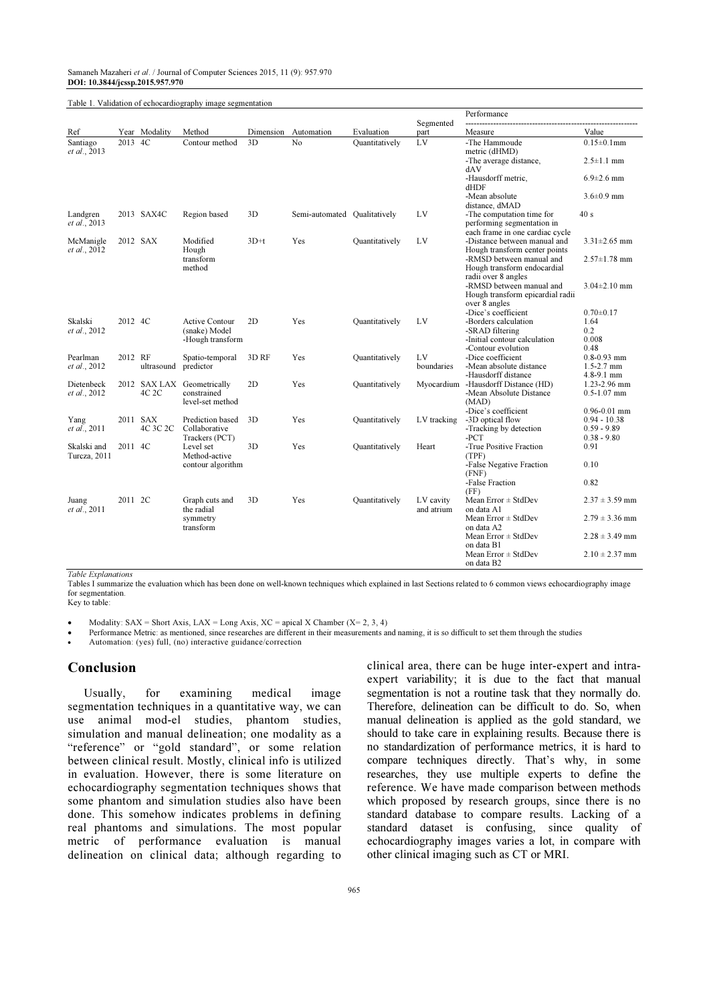#### Samaneh Mazaheri et al. / Journal of Computer Sciences 2015, 11 (9): 957.970 DOI: 10.3844/jcssp.2015.957.970

| Table 1. Validation of echocardiography image segmentation |         |                     |                                                                                               |                        |                              |                                  |                                |                                                               |                                 |
|------------------------------------------------------------|---------|---------------------|-----------------------------------------------------------------------------------------------|------------------------|------------------------------|----------------------------------|--------------------------------|---------------------------------------------------------------|---------------------------------|
|                                                            |         |                     |                                                                                               |                        |                              |                                  | Segmented                      | Performance                                                   |                                 |
| Ref                                                        |         | Year Modality       | Method                                                                                        | Dimension              | Automation                   | Evaluation                       | part                           | Measure                                                       | Value                           |
| Santiago<br>et al., 2013                                   | 2013 4C |                     | Contour method                                                                                | 3D                     | No                           | Quantitatively                   | LV                             | -The Hammoude<br>metric (dHMD)                                | $0.15 \pm 0.1$ mm               |
|                                                            |         |                     |                                                                                               |                        |                              |                                  |                                | -The average distance.<br>dAV                                 | $2.5 \pm 1.1$ mm                |
|                                                            |         |                     |                                                                                               |                        |                              |                                  |                                | -Hausdorff metric,<br>dHDF                                    | $6.9 \pm 2.6$ mm                |
|                                                            |         |                     |                                                                                               |                        |                              |                                  |                                | -Mean absolute<br>distance, dMAD                              | $3.6 \pm 0.9$ mm                |
| Landgren<br>et al., 2013                                   |         | 2013 SAX4C          | Region based                                                                                  | 3D                     | Semi-automated Qualitatively |                                  | LV                             | -The computation time for                                     | 40 s                            |
|                                                            |         |                     |                                                                                               |                        |                              |                                  |                                | performing segmentation in<br>each frame in one cardiac cycle |                                 |
| McManigle<br>et al., 2012                                  |         | 2012 SAX            | Modified<br>Hough<br>transform<br>method                                                      | $3D+t$                 | Yes                          | Quantitatively                   | LV                             | -Distance between manual and<br>Hough transform center points | $3.31 \pm 2.65$ mm              |
|                                                            |         |                     |                                                                                               |                        |                              |                                  |                                | -RMSD between manual and                                      | $2.57 \pm 1.78$ mm              |
|                                                            |         |                     |                                                                                               |                        |                              |                                  |                                | Hough transform endocardial                                   |                                 |
|                                                            |         |                     |                                                                                               |                        |                              |                                  |                                | radii over 8 angles<br>-RMSD between manual and               | $3.04 \pm 2.10$ mm              |
|                                                            |         |                     |                                                                                               |                        |                              |                                  |                                | Hough transform epicardial radii                              |                                 |
|                                                            |         |                     |                                                                                               |                        |                              |                                  |                                | over 8 angles                                                 |                                 |
| Skalski<br>et al., 2012                                    | 2012 4C |                     | <b>Active Contour</b><br>(snake) Model<br>-Hough transform                                    | 2D                     | Yes                          | Quantitatively                   | LV                             | -Dice's coefficient<br>-Borders calculation                   | $0.70 \pm 0.17$<br>1.64         |
|                                                            |         |                     |                                                                                               |                        |                              |                                  |                                | -SRAD filtering                                               | 0.2                             |
|                                                            |         |                     |                                                                                               |                        |                              |                                  |                                | -Initial contour calculation                                  | 0.008                           |
|                                                            |         |                     |                                                                                               |                        |                              |                                  |                                | -Contour evolution                                            | 0.48                            |
| Pearlman<br>et al., 2012<br>Dietenbeck<br>et al., 2012     | 2012 RF | ultrasound<br>4C 2C | Spatio-temporal<br>predictor<br>2012 SAX LAX Geometrically<br>constrained<br>level-set method | 3D <sub>RF</sub><br>2D | Yes<br>Yes                   | Quantitatively<br>Quantitatively | LV<br>boundaries<br>Myocardium | -Dice coefficient                                             | $0.8 - 0.93$ mm                 |
|                                                            |         |                     |                                                                                               |                        |                              |                                  |                                | -Mean absolute distance                                       | $1.5 - 2.7$ mm                  |
|                                                            |         |                     |                                                                                               |                        |                              |                                  |                                | -Hausdorff distance                                           | $4.8 - 9.1$ mm                  |
|                                                            |         |                     |                                                                                               |                        |                              |                                  |                                | -Hausdorff Distance (HD)                                      | 1.23-2.96 mm<br>$0.5 - 1.07$ mm |
|                                                            |         |                     |                                                                                               |                        |                              |                                  |                                | -Mean Absolute Distance<br>(MAD)                              |                                 |
|                                                            |         |                     |                                                                                               |                        |                              |                                  |                                | -Dice's coefficient                                           | $0.96 - 0.01$ mm                |
| Yang                                                       |         | 2011 SAX            | Prediction based                                                                              | 3D                     | Yes                          | Quantitatively                   | LV tracking                    | -3D optical flow                                              | $0.94 - 10.38$                  |
| et al., 2011                                               |         | 4C 3C 2C            | Collaborative<br>Trackers (PCT)                                                               |                        |                              |                                  |                                | -Tracking by detection                                        | $0.59 - 9.89$                   |
|                                                            |         |                     |                                                                                               |                        |                              |                                  |                                | $-PCT$                                                        | $0.38 - 9.80$                   |
| Skalski and<br>Turcza, 2011                                | 2011 4C |                     | Level set<br>Method-active<br>contour algorithm                                               | 3D                     | Yes                          | Quantitatively                   | Heart                          | -True Positive Fraction<br>(TPF)                              | 0.91                            |
|                                                            |         |                     |                                                                                               |                        |                              |                                  |                                | -False Negative Fraction<br>(FNF)                             | 0.10                            |
|                                                            |         |                     |                                                                                               |                        |                              |                                  |                                | -False Fraction<br>(FF)                                       | 0.82                            |
| Juang<br>et al., 2011                                      | 2011 2C |                     | Graph cuts and<br>the radial<br>symmetry<br>transform                                         | 3D                     | Yes                          | Quantitatively                   | LV cavity<br>and atrium        | Mean Error $\pm$ StdDev                                       | $2.37 \pm 3.59$ mm              |
|                                                            |         |                     |                                                                                               |                        |                              |                                  |                                | on data A1                                                    |                                 |
|                                                            |         |                     |                                                                                               |                        |                              |                                  |                                | Mean $Error \pm StdDev$<br>on data A2                         | $2.79 \pm 3.36$ mm              |
|                                                            |         |                     |                                                                                               |                        |                              |                                  |                                | Mean $Error \pm StdDev$                                       | $2.28 \pm 3.49$ mm              |
|                                                            |         |                     |                                                                                               |                        |                              |                                  |                                | on data B1                                                    |                                 |
|                                                            |         |                     |                                                                                               |                        |                              |                                  |                                | Mean $Error \pm StdDev$<br>on data B2                         | $2.10 \pm 2.37$ mm              |

Table Explanations

Tables I summarize the evaluation which has been done on well-known techniques which explained in last Sections related to 6 common views echocardiography image for segmentation. Key to table:

Modality:  $SAX = Short Axis, LAX = Long Axis, XC = apical X Chamber (X = 2, 3, 4)$ 

• Performance Metric: as mentioned, since researches are different in their measurements and naming, it is so difficult to set them through the studies

• Automation: (yes) full, (no) interactive guidance/correction

#### Conclusion

Usually, for examining medical image segmentation techniques in a quantitative way, we can use animal mod-el studies, phantom studies, simulation and manual delineation; one modality as a "reference" or "gold standard", or some relation between clinical result. Mostly, clinical info is utilized in evaluation. However, there is some literature on echocardiography segmentation techniques shows that some phantom and simulation studies also have been done. This somehow indicates problems in defining real phantoms and simulations. The most popular metric of performance evaluation is manual delineation on clinical data; although regarding to clinical area, there can be huge inter-expert and intraexpert variability; it is due to the fact that manual segmentation is not a routine task that they normally do. Therefore, delineation can be difficult to do. So, when manual delineation is applied as the gold standard, we should to take care in explaining results. Because there is no standardization of performance metrics, it is hard to compare techniques directly. That's why, in some researches, they use multiple experts to define the reference. We have made comparison between methods which proposed by research groups, since there is no standard database to compare results. Lacking of a standard dataset is confusing, since quality of echocardiography images varies a lot, in compare with other clinical imaging such as CT or MRI.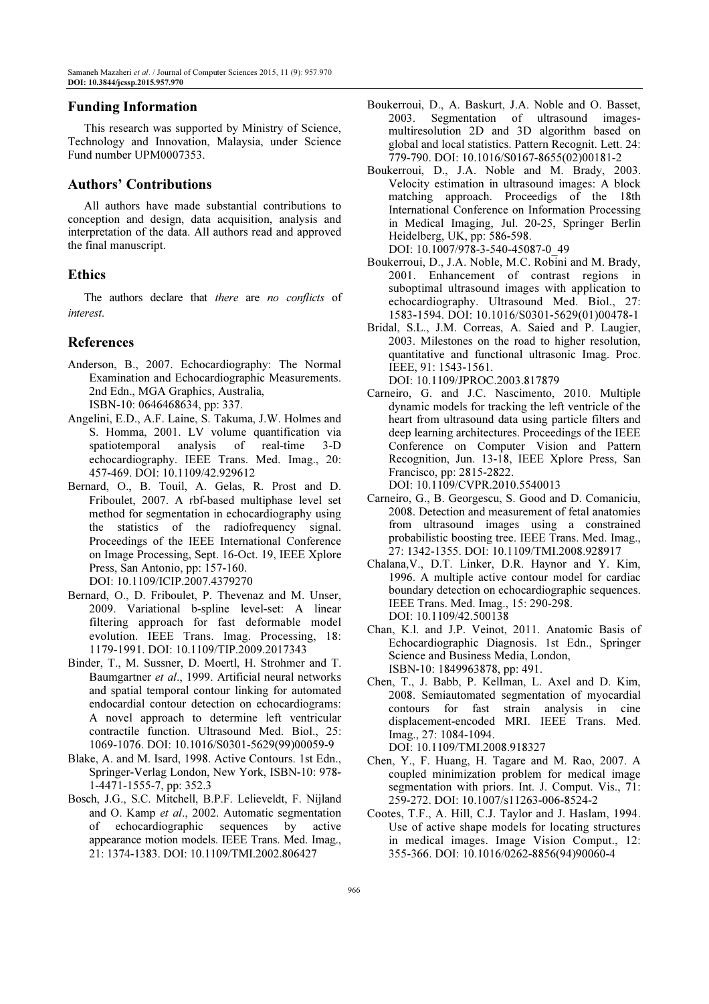# Funding Information

This research was supported by Ministry of Science, Technology and Innovation, Malaysia, under Science Fund number UPM0007353.

## Authors' Contributions

All authors have made substantial contributions to conception and design, data acquisition, analysis and interpretation of the data. All authors read and approved the final manuscript.

# **Ethics**

The authors declare that there are no conflicts of interest.

## References

- Anderson, B., 2007. Echocardiography: The Normal Examination and Echocardiographic Measurements. 2nd Edn., MGA Graphics, Australia, ISBN-10: 0646468634, pp: 337.
- Angelini, E.D., A.F. Laine, S. Takuma, J.W. Holmes and S. Homma, 2001. LV volume quantification via spatiotemporal analysis of real-time 3-D echocardiography. IEEE Trans. Med. Imag., 20: 457-469. DOI: 10.1109/42.929612
- Bernard, O., B. Touil, A. Gelas, R. Prost and D. Friboulet, 2007. A rbf-based multiphase level set method for segmentation in echocardiography using the statistics of the radiofrequency signal. Proceedings of the IEEE International Conference on Image Processing, Sept. 16-Oct. 19, IEEE Xplore Press, San Antonio, pp: 157-160. DOI: 10.1109/ICIP.2007.4379270
- Bernard, O., D. Friboulet, P. Thevenaz and M. Unser, 2009. Variational b-spline level-set: A linear filtering approach for fast deformable model evolution. IEEE Trans. Imag. Processing, 18: 1179-1991. DOI: 10.1109/TIP.2009.2017343
- Binder, T., M. Sussner, D. Moertl, H. Strohmer and T. Baumgartner et al., 1999. Artificial neural networks and spatial temporal contour linking for automated endocardial contour detection on echocardiograms: A novel approach to determine left ventricular contractile function. Ultrasound Med. Biol., 25: 1069-1076. DOI: 10.1016/S0301-5629(99)00059-9
- Blake, A. and M. Isard, 1998. Active Contours. 1st Edn., Springer-Verlag London, New York, ISBN-10: 978- 1-4471-1555-7, pp: 352.3
- Bosch, J.G., S.C. Mitchell, B.P.F. Lelieveldt, F. Nijland and O. Kamp et al., 2002. Automatic segmentation of echocardiographic sequences by active appearance motion models. IEEE Trans. Med. Imag., 21: 1374-1383. DOI: 10.1109/TMI.2002.806427
- Boukerroui, D., A. Baskurt, J.A. Noble and O. Basset, 2003. Segmentation of ultrasound imagesmultiresolution 2D and 3D algorithm based on global and local statistics. Pattern Recognit. Lett. 24: 779-790. DOI: 10.1016/S0167-8655(02)00181-2
- Boukerroui, D., J.A. Noble and M. Brady, 2003. Velocity estimation in ultrasound images: A block matching approach. Proceedigs of the 18th International Conference on Information Processing in Medical Imaging, Jul. 20-25, Springer Berlin Heidelberg, UK, pp: 586-598. DOI: 10.1007/978-3-540-45087-0\_49
- Boukerroui, D., J.A. Noble, M.C. Robini and M. Brady, 2001. Enhancement of contrast regions in suboptimal ultrasound images with application to echocardiography. Ultrasound Med. Biol., 27: 1583-1594. DOI: 10.1016/S0301-5629(01)00478-1
- Bridal, S.L., J.M. Correas, A. Saied and P. Laugier, 2003. Milestones on the road to higher resolution, quantitative and functional ultrasonic Imag. Proc. IEEE, 91: 1543-1561. DOI: 10.1109/JPROC.2003.817879
- Carneiro, G. and J.C. Nascimento, 2010. Multiple dynamic models for tracking the left ventricle of the heart from ultrasound data using particle filters and deep learning architectures. Proceedings of the IEEE Conference on Computer Vision and Pattern Recognition, Jun. 13-18, IEEE Xplore Press, San Francisco, pp: 2815-2822. DOI: 10.1109/CVPR.2010.5540013
- Carneiro, G., B. Georgescu, S. Good and D. Comaniciu, 2008. Detection and measurement of fetal anatomies from ultrasound images using a constrained probabilistic boosting tree. IEEE Trans. Med. Imag., 27: 1342-1355. DOI: 10.1109/TMI.2008.928917
- Chalana,V., D.T. Linker, D.R. Haynor and Y. Kim, 1996. A multiple active contour model for cardiac boundary detection on echocardiographic sequences. IEEE Trans. Med. Imag., 15: 290-298. DOI: 10.1109/42.500138
- Chan, K.l. and J.P. Veinot, 2011. Anatomic Basis of Echocardiographic Diagnosis. 1st Edn., Springer Science and Business Media, London, ISBN-10: 1849963878, pp: 491.
- Chen, T., J. Babb, P. Kellman, L. Axel and D. Kim, 2008. Semiautomated segmentation of myocardial contours for fast strain analysis in cine displacement-encoded MRI. IEEE Trans. Med. Imag., 27: 1084-1094. DOI: 10.1109/TMI.2008.918327
- Chen, Y., F. Huang, H. Tagare and M. Rao, 2007. A coupled minimization problem for medical image segmentation with priors. Int. J. Comput. Vis., 71: 259-272. DOI: 10.1007/s11263-006-8524-2
- Cootes, T.F., A. Hill, C.J. Taylor and J. Haslam, 1994. Use of active shape models for locating structures in medical images. Image Vision Comput., 12: 355-366. DOI: 10.1016/0262-8856(94)90060-4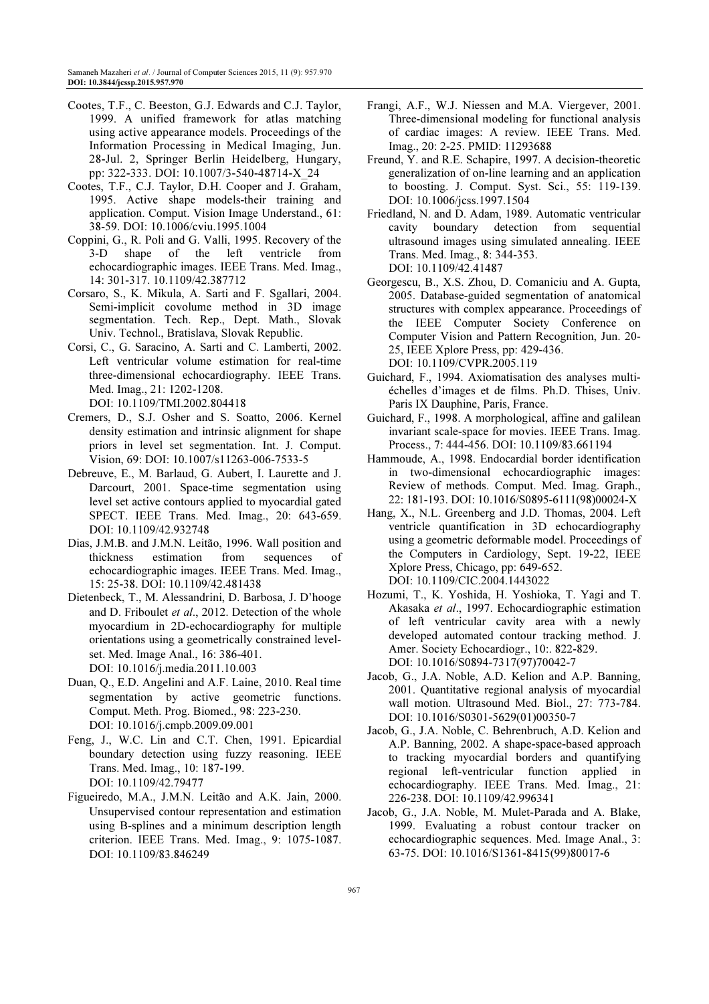- Cootes, T.F., C. Beeston, G.J. Edwards and C.J. Taylor, 1999. A unified framework for atlas matching using active appearance models. Proceedings of the Information Processing in Medical Imaging, Jun. 28-Jul. 2, Springer Berlin Heidelberg, Hungary, pp: 322-333. DOI: 10.1007/3-540-48714-X\_24
- Cootes, T.F., C.J. Taylor, D.H. Cooper and J. Graham, 1995. Active shape models-their training and application. Comput. Vision Image Understand., 61: 38-59. DOI: 10.1006/cviu.1995.1004
- Coppini, G., R. Poli and G. Valli, 1995. Recovery of the 3-D shape of the left ventricle from echocardiographic images. IEEE Trans. Med. Imag., 14: 301-317. 10.1109/42.387712
- Corsaro, S., K. Mikula, A. Sarti and F. Sgallari, 2004. Semi-implicit covolume method in 3D image segmentation. Tech. Rep., Dept. Math., Slovak Univ. Technol., Bratislava, Slovak Republic.
- Corsi, C., G. Saracino, A. Sarti and C. Lamberti, 2002. Left ventricular volume estimation for real-time three-dimensional echocardiography. IEEE Trans. Med. Imag., 21: 1202-1208. DOI: 10.1109/TMI.2002.804418
- Cremers, D., S.J. Osher and S. Soatto, 2006. Kernel density estimation and intrinsic alignment for shape priors in level set segmentation. Int. J. Comput. Vision, 69: DOI: 10.1007/s11263-006-7533-5
- Debreuve, E., M. Barlaud, G. Aubert, I. Laurette and J. Darcourt, 2001. Space-time segmentation using level set active contours applied to myocardial gated SPECT. IEEE Trans. Med. Imag., 20: 643-659. DOI: 10.1109/42.932748
- Dias, J.M.B. and J.M.N. Leitão, 1996. Wall position and thickness estimation from sequences of echocardiographic images. IEEE Trans. Med. Imag., 15: 25-38. DOI: 10.1109/42.481438
- Dietenbeck, T., M. Alessandrini, D. Barbosa, J. D'hooge and D. Friboulet et al., 2012. Detection of the whole myocardium in 2D-echocardiography for multiple orientations using a geometrically constrained levelset. Med. Image Anal., 16: 386-401. DOI: 10.1016/j.media.2011.10.003
- Duan, Q., E.D. Angelini and A.F. Laine, 2010. Real time segmentation by active geometric functions. Comput. Meth. Prog. Biomed., 98: 223-230. DOI: 10.1016/j.cmpb.2009.09.001
- Feng, J., W.C. Lin and C.T. Chen, 1991. Epicardial boundary detection using fuzzy reasoning. IEEE Trans. Med. Imag., 10: 187-199. DOI: 10.1109/42.79477
- Figueiredo, M.A., J.M.N. Leitão and A.K. Jain, 2000. Unsupervised contour representation and estimation using B-splines and a minimum description length criterion. IEEE Trans. Med. Imag., 9: 1075-1087. DOI: 10.1109/83.846249
- Frangi, A.F., W.J. Niessen and M.A. Viergever, 2001. Three-dimensional modeling for functional analysis of cardiac images: A review. IEEE Trans. Med. Imag., 20: 2-25. PMID: 11293688
- Freund, Y. and R.E. Schapire, 1997. A decision-theoretic generalization of on-line learning and an application to boosting. J. Comput. Syst. Sci., 55: 119-139. DOI: 10.1006/jcss.1997.1504
- Friedland, N. and D. Adam, 1989. Automatic ventricular cavity boundary detection from sequential ultrasound images using simulated annealing. IEEE Trans. Med. Imag., 8: 344-353. DOI: 10.1109/42.41487

Georgescu, B., X.S. Zhou, D. Comaniciu and A. Gupta, 2005. Database-guided segmentation of anatomical structures with complex appearance. Proceedings of the IEEE Computer Society Conference on Computer Vision and Pattern Recognition, Jun. 20- 25, IEEE Xplore Press, pp: 429-436. DOI: 10.1109/CVPR.2005.119

- Guichard, F., 1994. Axiomatisation des analyses multiéchelles d'images et de films. Ph.D. Thises, Univ. Paris IX Dauphine, Paris, France.
- Guichard, F., 1998. A morphological, affine and galilean invariant scale-space for movies. IEEE Trans. Imag. Process., 7: 444-456. DOI: 10.1109/83.661194
- Hammoude, A., 1998. Endocardial border identification in two-dimensional echocardiographic images: Review of methods. Comput. Med. Imag. Graph., 22: 181-193. DOI: 10.1016/S0895-6111(98)00024-X
- Hang, X., N.L. Greenberg and J.D. Thomas, 2004. Left ventricle quantification in 3D echocardiography using a geometric deformable model. Proceedings of the Computers in Cardiology, Sept. 19-22, IEEE Xplore Press, Chicago, pp: 649-652. DOI: 10.1109/CIC.2004.1443022
- Hozumi, T., K. Yoshida, H. Yoshioka, T. Yagi and T. Akasaka et al., 1997. Echocardiographic estimation of left ventricular cavity area with a newly developed automated contour tracking method. J. Amer. Society Echocardiogr., 10:. 822-829. DOI: 10.1016/S0894-7317(97)70042-7
- Jacob, G., J.A. Noble, A.D. Kelion and A.P. Banning, 2001. Quantitative regional analysis of myocardial wall motion. Ultrasound Med. Biol., 27: 773-784. DOI: 10.1016/S0301-5629(01)00350-7
- Jacob, G., J.A. Noble, C. Behrenbruch, A.D. Kelion and A.P. Banning, 2002. A shape-space-based approach to tracking myocardial borders and quantifying regional left-ventricular function applied in echocardiography. IEEE Trans. Med. Imag., 21: 226-238. DOI: 10.1109/42.996341
- Jacob, G., J.A. Noble, M. Mulet-Parada and A. Blake, 1999. Evaluating a robust contour tracker on echocardiographic sequences. Med. Image Anal., 3: 63-75. DOI: 10.1016/S1361-8415(99)80017-6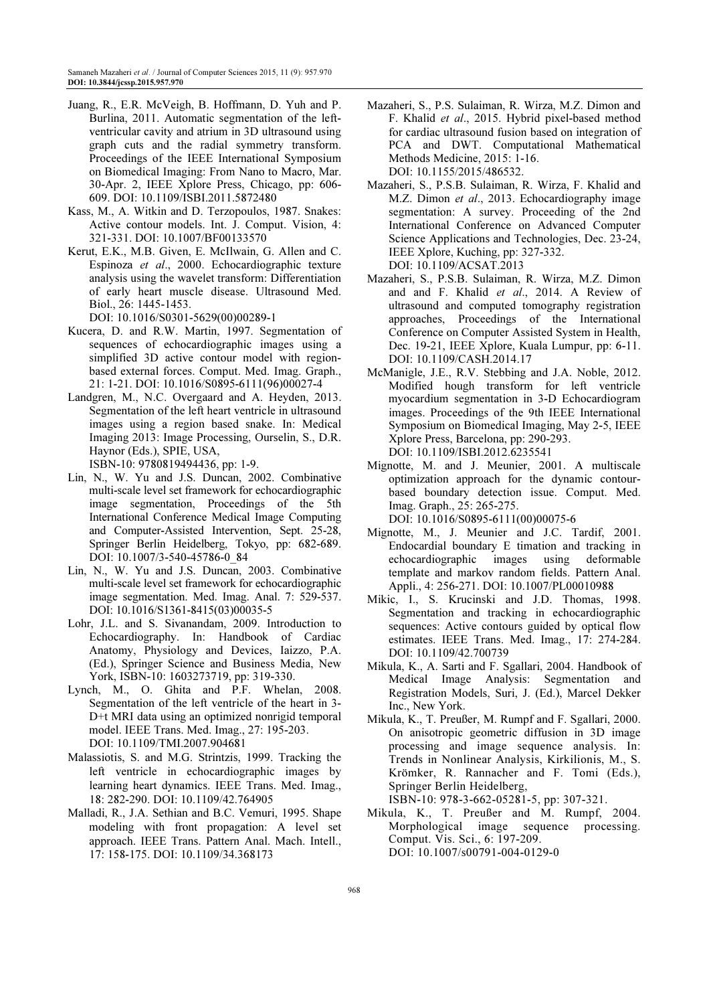- Juang, R., E.R. McVeigh, B. Hoffmann, D. Yuh and P. Burlina, 2011. Automatic segmentation of the leftventricular cavity and atrium in 3D ultrasound using graph cuts and the radial symmetry transform. Proceedings of the IEEE International Symposium on Biomedical Imaging: From Nano to Macro, Mar. 30-Apr. 2, IEEE Xplore Press, Chicago, pp: 606- 609. DOI: 10.1109/ISBI.2011.5872480
- Kass, M., A. Witkin and D. Terzopoulos, 1987. Snakes: Active contour models. Int. J. Comput. Vision, 4: 321-331. DOI: 10.1007/BF00133570
- Kerut, E.K., M.B. Given, E. McIlwain, G. Allen and C. Espinoza et al., 2000. Echocardiographic texture analysis using the wavelet transform: Differentiation of early heart muscle disease. Ultrasound Med. Biol., 26: 1445-1453.

DOI: 10.1016/S0301-5629(00)00289-1

- Kucera, D. and R.W. Martin, 1997. Segmentation of sequences of echocardiographic images using a simplified 3D active contour model with regionbased external forces. Comput. Med. Imag. Graph., 21: 1-21. DOI: 10.1016/S0895-6111(96)00027-4
- Landgren, M., N.C. Overgaard and A. Heyden, 2013. Segmentation of the left heart ventricle in ultrasound images using a region based snake. In: Medical Imaging 2013: Image Processing, Ourselin, S., D.R. Haynor (Eds.), SPIE, USA,

ISBN-10: 9780819494436, pp: 1-9.

- Lin, N., W. Yu and J.S. Duncan, 2002. Combinative multi-scale level set framework for echocardiographic image segmentation, Proceedings of the 5th International Conference Medical Image Computing and Computer-Assisted Intervention, Sept. 25-28, Springer Berlin Heidelberg, Tokyo, pp: 682-689. DOI: 10.1007/3-540-45786-0\_84
- Lin, N., W. Yu and J.S. Duncan, 2003. Combinative multi-scale level set framework for echocardiographic image segmentation. Med. Imag. Anal. 7: 529-537. DOI: 10.1016/S1361-8415(03)00035-5
- Lohr, J.L. and S. Sivanandam, 2009. Introduction to Echocardiography. In: Handbook of Cardiac Anatomy, Physiology and Devices, Iaizzo, P.A. (Ed.), Springer Science and Business Media, New York, ISBN-10: 1603273719, pp: 319-330.
- Lynch, M., O. Ghita and P.F. Whelan, 2008. Segmentation of the left ventricle of the heart in 3- D+t MRI data using an optimized nonrigid temporal model. IEEE Trans. Med. Imag., 27: 195-203. DOI: 10.1109/TMI.2007.904681
- Malassiotis, S. and M.G. Strintzis, 1999. Tracking the left ventricle in echocardiographic images by learning heart dynamics. IEEE Trans. Med. Imag., 18: 282-290. DOI: 10.1109/42.764905
- Malladi, R., J.A. Sethian and B.C. Vemuri, 1995. Shape modeling with front propagation: A level set approach. IEEE Trans. Pattern Anal. Mach. Intell., 17: 158-175. DOI: 10.1109/34.368173
- Mazaheri, S., P.S. Sulaiman, R. Wirza, M.Z. Dimon and F. Khalid et al., 2015. Hybrid pixel-based method for cardiac ultrasound fusion based on integration of PCA and DWT. Computational Mathematical Methods Medicine, 2015: 1-16. DOI: 10.1155/2015/486532.
- Mazaheri, S., P.S.B. Sulaiman, R. Wirza, F. Khalid and M.Z. Dimon et al., 2013. Echocardiography image segmentation: A survey. Proceeding of the 2nd International Conference on Advanced Computer Science Applications and Technologies, Dec. 23-24, IEEE Xplore, Kuching, pp: 327-332. DOI: 10.1109/ACSAT.2013
- Mazaheri, S., P.S.B. Sulaiman, R. Wirza, M.Z. Dimon and and F. Khalid et al., 2014. A Review of ultrasound and computed tomography registration approaches, Proceedings of the International Conference on Computer Assisted System in Health, Dec. 19-21, IEEE Xplore, Kuala Lumpur, pp: 6-11. DOI: 10.1109/CASH.2014.17
- McManigle, J.E., R.V. Stebbing and J.A. Noble, 2012. Modified hough transform for left ventricle myocardium segmentation in 3-D Echocardiogram images. Proceedings of the 9th IEEE International Symposium on Biomedical Imaging, May 2-5, IEEE Xplore Press, Barcelona, pp: 290-293. DOI: 10.1109/ISBI.2012.6235541
- Mignotte, M. and J. Meunier, 2001. A multiscale optimization approach for the dynamic contourbased boundary detection issue. Comput. Med. Imag. Graph., 25: 265-275.
	- DOI: 10.1016/S0895-6111(00)00075-6
- Mignotte, M., J. Meunier and J.C. Tardif, 2001. Endocardial boundary E timation and tracking in echocardiographic images using deformable template and markov random fields. Pattern Anal. Appli., 4: 256-271. DOI: 10.1007/PL00010988
- Mikic, I., S. Krucinski and J.D. Thomas, 1998. Segmentation and tracking in echocardiographic sequences: Active contours guided by optical flow estimates. IEEE Trans. Med. Imag., 17: 274-284. DOI: 10.1109/42.700739
- Mikula, K., A. Sarti and F. Sgallari, 2004. Handbook of Medical Image Analysis: Segmentation and Registration Models, Suri, J. (Ed.), Marcel Dekker Inc., New York.
- Mikula, K., T. Preußer, M. Rumpf and F. Sgallari, 2000. On anisotropic geometric diffusion in 3D image processing and image sequence analysis. In: Trends in Nonlinear Analysis, Kirkilionis, M., S. Krömker, R. Rannacher and F. Tomi (Eds.), Springer Berlin Heidelberg, ISBN-10: 978-3-662-05281-5, pp: 307-321.
- Mikula, K., T. Preußer and M. Rumpf, 2004. Morphological image sequence processing. Comput. Vis. Sci., 6: 197-209. DOI: 10.1007/s00791-004-0129-0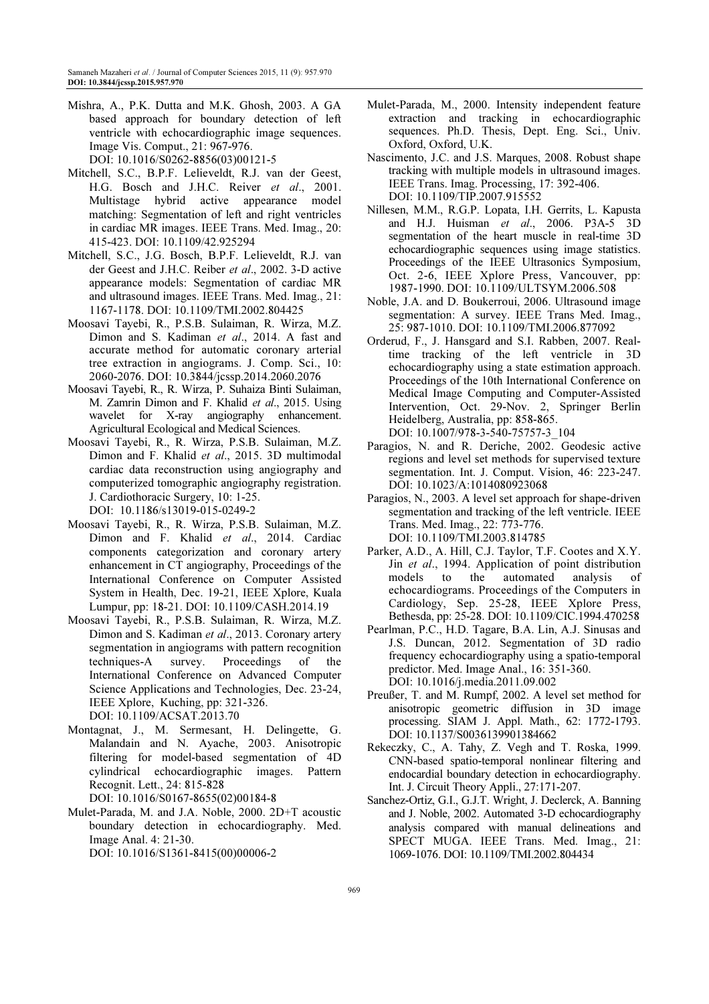Mishra, A., P.K. Dutta and M.K. Ghosh, 2003. A GA based approach for boundary detection of left ventricle with echocardiographic image sequences. Image Vis. Comput., 21: 967-976.

DOI: 10.1016/S0262-8856(03)00121-5

- Mitchell, S.C., B.P.F. Lelieveldt, R.J. van der Geest, H.G. Bosch and J.H.C. Reiver et al., 2001. Multistage hybrid active appearance model matching: Segmentation of left and right ventricles in cardiac MR images. IEEE Trans. Med. Imag., 20: 415-423. DOI: 10.1109/42.925294
- Mitchell, S.C., J.G. Bosch, B.P.F. Lelieveldt, R.J. van der Geest and J.H.C. Reiber et al., 2002. 3-D active appearance models: Segmentation of cardiac MR and ultrasound images. IEEE Trans. Med. Imag., 21: 1167-1178. DOI: 10.1109/TMI.2002.804425
- Moosavi Tayebi, R., P.S.B. Sulaiman, R. Wirza, M.Z. Dimon and S. Kadiman et al., 2014. A fast and accurate method for automatic coronary arterial tree extraction in angiograms. J. Comp. Sci., 10: 2060-2076. DOI: 10.3844/jcssp.2014.2060.2076
- Moosavi Tayebi, R., R. Wirza, P. Suhaiza Binti Sulaiman, M. Zamrin Dimon and F. Khalid et al., 2015. Using wavelet for X-ray angiography enhancement. Agricultural Ecological and Medical Sciences.
- Moosavi Tayebi, R., R. Wirza, P.S.B. Sulaiman, M.Z. Dimon and F. Khalid et al., 2015. 3D multimodal cardiac data reconstruction using angiography and computerized tomographic angiography registration. J. Cardiothoracic Surgery, 10: 1-25.

DOI: 10.1186/s13019-015-0249-2

- Moosavi Tayebi, R., R. Wirza, P.S.B. Sulaiman, M.Z. Dimon and F. Khalid et al., 2014. Cardiac components categorization and coronary artery enhancement in CT angiography, Proceedings of the International Conference on Computer Assisted System in Health, Dec. 19-21, IEEE Xplore, Kuala Lumpur, pp: 18-21. DOI: 10.1109/CASH.2014.19
- Moosavi Tayebi, R., P.S.B. Sulaiman, R. Wirza, M.Z. Dimon and S. Kadiman et al., 2013. Coronary artery segmentation in angiograms with pattern recognition techniques-A survey. Proceedings of the International Conference on Advanced Computer Science Applications and Technologies, Dec. 23-24, IEEE Xplore, Kuching, pp: 321-326. DOI: 10.1109/ACSAT.2013.70
- Montagnat, J., M. Sermesant, H. Delingette, G. Malandain and N. Ayache, 2003. Anisotropic filtering for model-based segmentation of 4D cylindrical echocardiographic images. Pattern Recognit. Lett., 24: 815-828

DOI: 10.1016/S0167-8655(02)00184-8

Mulet-Parada, M. and J.A. Noble, 2000. 2D+T acoustic boundary detection in echocardiography. Med. Image Anal. 4: 21-30. DOI: 10.1016/S1361-8415(00)00006-2

- Mulet-Parada, M., 2000. Intensity independent feature extraction and tracking in echocardiographic sequences. Ph.D. Thesis, Dept. Eng. Sci., Univ. Oxford, Oxford, U.K.
- Nascimento, J.C. and J.S. Marques, 2008. Robust shape tracking with multiple models in ultrasound images. IEEE Trans. Imag. Processing, 17: 392-406. DOI: 10.1109/TIP.2007.915552
- Nillesen, M.M., R.G.P. Lopata, I.H. Gerrits, L. Kapusta and H.J. Huisman et al., 2006. P3A-5 3D segmentation of the heart muscle in real-time 3D echocardiographic sequences using image statistics. Proceedings of the IEEE Ultrasonics Symposium, Oct. 2-6, IEEE Xplore Press, Vancouver, pp: 1987-1990. DOI: 10.1109/ULTSYM.2006.508
- Noble, J.A. and D. Boukerroui, 2006. Ultrasound image segmentation: A survey. IEEE Trans Med. Imag., 25: 987-1010. DOI: 10.1109/TMI.2006.877092
- Orderud, F., J. Hansgard and S.I. Rabben, 2007. Realtime tracking of the left ventricle in 3D echocardiography using a state estimation approach. Proceedings of the 10th International Conference on Medical Image Computing and Computer-Assisted Intervention, Oct. 29-Nov. 2, Springer Berlin Heidelberg, Australia, pp: 858-865. DOI: 10.1007/978-3-540-75757-3\_104
- Paragios, N. and R. Deriche, 2002. Geodesic active regions and level set methods for supervised texture segmentation. Int. J. Comput. Vision, 46: 223-247. DOI: 10.1023/A:1014080923068
- Paragios, N., 2003. A level set approach for shape-driven segmentation and tracking of the left ventricle. IEEE Trans. Med. Imag., 22: 773-776. DOI: 10.1109/TMI.2003.814785
- Parker, A.D., A. Hill, C.J. Taylor, T.F. Cootes and X.Y. Jin et al., 1994. Application of point distribution models to the automated analysis of echocardiograms. Proceedings of the Computers in Cardiology, Sep. 25-28, IEEE Xplore Press, Bethesda, pp: 25-28. DOI: 10.1109/CIC.1994.470258
- Pearlman, P.C., H.D. Tagare, B.A. Lin, A.J. Sinusas and J.S. Duncan, 2012. Segmentation of 3D radio frequency echocardiography using a spatio-temporal predictor. Med. Image Anal., 16: 351-360. DOI: 10.1016/j.media.2011.09.002
- Preußer, T. and M. Rumpf, 2002. A level set method for anisotropic geometric diffusion in 3D image processing. SIAM J. Appl. Math., 62: 1772-1793. DOI: 10.1137/S0036139901384662
- Rekeczky, C., A. Tahy, Z. Vegh and T. Roska, 1999. CNN-based spatio-temporal nonlinear filtering and endocardial boundary detection in echocardiography. Int. J. Circuit Theory Appli., 27:171-207.
- Sanchez-Ortiz, G.I., G.J.T. Wright, J. Declerck, A. Banning and J. Noble, 2002. Automated 3-D echocardiography analysis compared with manual delineations and SPECT MUGA. IEEE Trans. Med. Imag., 21: 1069-1076. DOI: 10.1109/TMI.2002.804434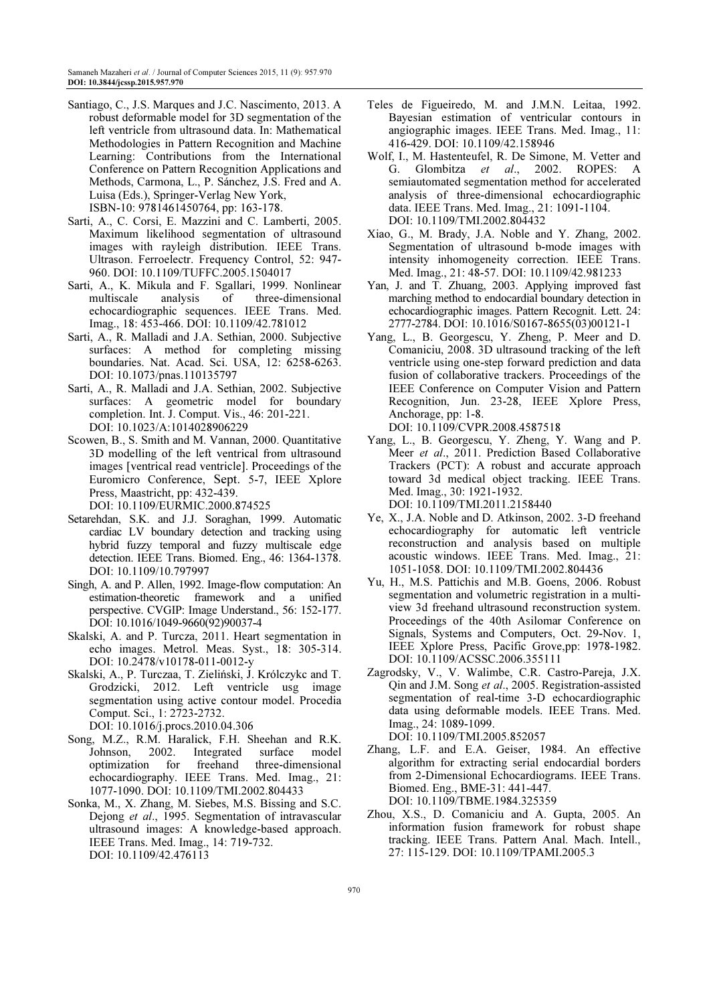- Santiago, C., J.S. Marques and J.C. Nascimento, 2013. A robust deformable model for 3D segmentation of the left ventricle from ultrasound data. In: Mathematical Methodologies in Pattern Recognition and Machine Learning: Contributions from the International Conference on Pattern Recognition Applications and Methods, Carmona, L., P. Sánchez, J.S. Fred and A. Luisa (Eds.), Springer-Verlag New York, ISBN-10: 9781461450764, pp: 163-178.
- Sarti, A., C. Corsi, E. Mazzini and C. Lamberti, 2005. Maximum likelihood segmentation of ultrasound images with rayleigh distribution. IEEE Trans. Ultrason. Ferroelectr. Frequency Control, 52: 947- 960. DOI: 10.1109/TUFFC.2005.1504017
- Sarti, A., K. Mikula and F. Sgallari, 1999. Nonlinear multiscale analysis of three-dimensional echocardiographic sequences. IEEE Trans. Med. Imag., 18: 453-466. DOI: 10.1109/42.781012
- Sarti, A., R. Malladi and J.A. Sethian, 2000. Subjective surfaces: A method for completing missing boundaries. Nat. Acad. Sci. USA, 12: 6258-6263. DOI: 10.1073/pnas.110135797
- Sarti, A., R. Malladi and J.A. Sethian, 2002. Subjective surfaces: A geometric model for boundary completion. Int. J. Comput. Vis., 46: 201-221. DOI: 10.1023/A:1014028906229
- Scowen, B., S. Smith and M. Vannan, 2000. Quantitative 3D modelling of the left ventrical from ultrasound images [ventrical read ventricle]. Proceedings of the Euromicro Conference, Sept. 5-7, IEEE Xplore Press, Maastricht, pp: 432-439.

DOI: 10.1109/EURMIC.2000.874525

- Setarehdan, S.K. and J.J. Soraghan, 1999. Automatic cardiac LV boundary detection and tracking using hybrid fuzzy temporal and fuzzy multiscale edge detection. IEEE Trans. Biomed. Eng., 46: 1364-1378. DOI: 10.1109/10.797997
- Singh, A. and P. Allen, 1992. Image-flow computation: An estimation-theoretic framework and a unified perspective. CVGIP: Image Understand., 56: 152-177. DOI: 10.1016/1049-9660(92)90037-4
- Skalski, A. and P. Turcza, 2011. Heart segmentation in echo images. Metrol. Meas. Syst., 18: 305-314. DOI: 10.2478/v10178-011-0012-y
- Skalski, A., P. Turczaa, T. Zieliński, J. Królczykc and T. Grodzicki, 2012. Left ventricle usg image segmentation using active contour model. Procedia Comput. Sci., 1: 2723-2732.

DOI: 10.1016/j.procs.2010.04.306

- Song, M.Z., R.M. Haralick, F.H. Sheehan and R.K. Johnson, 2002. Integrated surface model optimization for freehand three-dimensional echocardiography. IEEE Trans. Med. Imag., 21: 1077-1090. DOI: 10.1109/TMI.2002.804433
- Sonka, M., X. Zhang, M. Siebes, M.S. Bissing and S.C. Dejong et al., 1995. Segmentation of intravascular ultrasound images: A knowledge-based approach. IEEE Trans. Med. Imag., 14: 719-732. DOI: 10.1109/42.476113
- Teles de Figueiredo, M. and J.M.N. Leitaa, 1992. Bayesian estimation of ventricular contours in angiographic images. IEEE Trans. Med. Imag., 11: 416-429. DOI: 10.1109/42.158946
- Wolf, I., M. Hastenteufel, R. De Simone, M. Vetter and G. Glombitza et al., 2002. ROPES: A semiautomated segmentation method for accelerated analysis of three-dimensional echocardiographic data. IEEE Trans. Med. Imag., 21: 1091-1104. DOI: 10.1109/TMI.2002.804432
- Xiao, G., M. Brady, J.A. Noble and Y. Zhang, 2002. Segmentation of ultrasound b-mode images with intensity inhomogeneity correction. IEEE Trans. Med. Imag., 21: 48-57. DOI: 10.1109/42.981233
- Yan, J. and T. Zhuang, 2003. Applying improved fast marching method to endocardial boundary detection in echocardiographic images. Pattern Recognit. Lett. 24: 2777-2784. DOI: 10.1016/S0167-8655(03)00121-1
- Yang, L., B. Georgescu, Y. Zheng, P. Meer and D. Comaniciu, 2008. 3D ultrasound tracking of the left ventricle using one-step forward prediction and data fusion of collaborative trackers. Proceedings of the IEEE Conference on Computer Vision and Pattern Recognition, Jun. 23-28, IEEE Xplore Press, Anchorage, pp: 1-8. DOI: 10.1109/CVPR.2008.4587518
- Yang, L., B. Georgescu, Y. Zheng, Y. Wang and P. Meer et al., 2011. Prediction Based Collaborative Trackers (PCT): A robust and accurate approach toward 3d medical object tracking. IEEE Trans. Med. Imag., 30: 1921-1932.

DOI: 10.1109/TMI.2011.2158440

- Ye, X., J.A. Noble and D. Atkinson, 2002. 3-D freehand echocardiography for automatic left ventricle reconstruction and analysis based on multiple acoustic windows. IEEE Trans. Med. Imag., 21: 1051-1058. DOI: 10.1109/TMI.2002.804436
- Yu, H., M.S. Pattichis and M.B. Goens, 2006. Robust segmentation and volumetric registration in a multiview 3d freehand ultrasound reconstruction system. Proceedings of the 40th Asilomar Conference on Signals, Systems and Computers, Oct. 29-Nov. 1, IEEE Xplore Press, Pacific Grove,pp: 1978-1982. DOI: 10.1109/ACSSC.2006.355111
- Zagrodsky, V., V. Walimbe, C.R. Castro-Pareja, J.X. Qin and J.M. Song et al., 2005. Registration-assisted segmentation of real-time 3-D echocardiographic data using deformable models. IEEE Trans. Med. Imag., 24: 1089-1099.

DOI: 10.1109/TMI.2005.852057

- Zhang, L.F. and E.A. Geiser, 1984. An effective algorithm for extracting serial endocardial borders from 2-Dimensional Echocardiograms. IEEE Trans. Biomed. Eng., BME-31: 441-447. DOI: 10.1109/TBME.1984.325359
- Zhou, X.S., D. Comaniciu and A. Gupta, 2005. An information fusion framework for robust shape tracking. IEEE Trans. Pattern Anal. Mach. Intell., 27: 115-129. DOI: 10.1109/TPAMI.2005.3